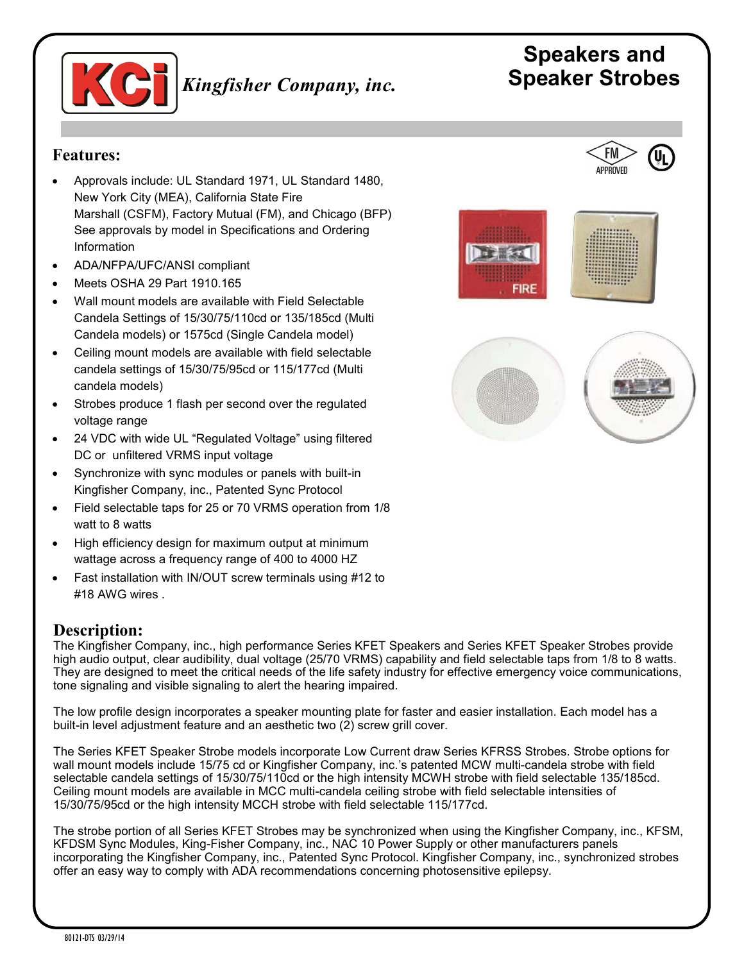

# **Speakers and**  *Kingfisher Company, inc.* **Speaker Strobes**

#### **Features:**

- Approvals include: UL Standard 1971, UL Standard 1480, New York City (MEA), California State Fire Marshall (CSFM), Factory Mutual (FM), and Chicago (BFP) See approvals by model in Specifications and Ordering Information
- ADA/NFPA/UFC/ANSI compliant
- Meets OSHA 29 Part 1910.165
- Wall mount models are available with Field Selectable Candela Settings of 15/30/75/110cd or 135/185cd (Multi Candela models) or 1575cd (Single Candela model)
- Ceiling mount models are available with field selectable candela settings of 15/30/75/95cd or 115/177cd (Multi candela models)
- Strobes produce 1 flash per second over the regulated voltage range
- 24 VDC with wide UL "Regulated Voltage" using filtered DC or unfiltered VRMS input voltage
- Synchronize with sync modules or panels with built-in Kingfisher Company, inc., Patented Sync Protocol
- Field selectable taps for 25 or 70 VRMS operation from 1/8 watt to 8 watts
- High efficiency design for maximum output at minimum wattage across a frequency range of 400 to 4000 HZ
- Fast installation with IN/OUT screw terminals using #12 to #18 AWG wires .

## **Description:**

The Kingfisher Company, inc., high performance Series KFET Speakers and Series KFET Speaker Strobes provide high audio output, clear audibility, dual voltage (25/70 VRMS) capability and field selectable taps from 1/8 to 8 watts. They are designed to meet the critical needs of the life safety industry for effective emergency voice communications, tone signaling and visible signaling to alert the hearing impaired.

The low profile design incorporates a speaker mounting plate for faster and easier installation. Each model has a built-in level adjustment feature and an aesthetic two (2) screw grill cover.

The Series KFET Speaker Strobe models incorporate Low Current draw Series KFRSS Strobes. Strobe options for wall mount models include 15/75 cd or Kingfisher Company, inc.'s patented MCW multi-candela strobe with field selectable candela settings of 15/30/75/110cd or the high intensity MCWH strobe with field selectable 135/185cd. Ceiling mount models are available in MCC multi-candela ceiling strobe with field selectable intensities of 15/30/75/95cd or the high intensity MCCH strobe with field selectable 115/177cd.

The strobe portion of all Series KFET Strobes may be synchronized when using the Kingfisher Company, inc., KFSM, KFDSM Sync Modules, King-Fisher Company, inc., NAC 10 Power Supply or other manufacturers panels incorporating the Kingfisher Company, inc., Patented Sync Protocol. Kingfisher Company, inc., synchronized strobes offer an easy way to comply with ADA recommendations concerning photosensitive epilepsy.





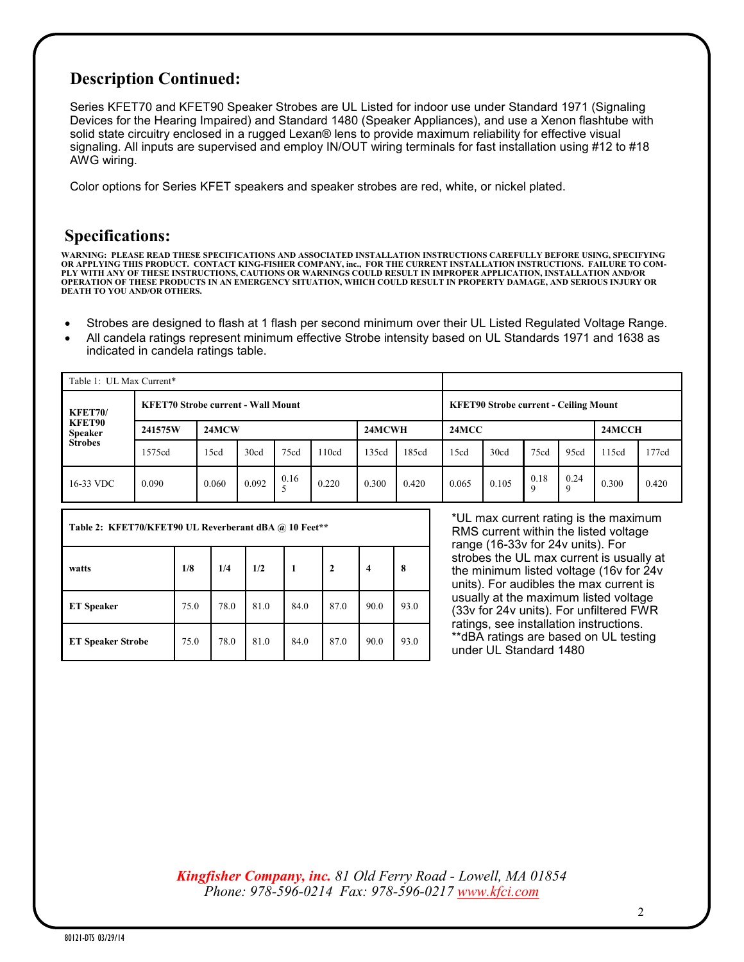# **Description Continued:**

Series KFET70 and KFET90 Speaker Strobes are UL Listed for indoor use under Standard 1971 (Signaling Devices for the Hearing Impaired) and Standard 1480 (Speaker Appliances), and use a Xenon flashtube with solid state circuitry enclosed in a rugged Lexan® lens to provide maximum reliability for effective visual signaling. All inputs are supervised and employ IN/OUT wiring terminals for fast installation using #12 to #18 AWG wiring.

Color options for Series KFET speakers and speaker strobes are red, white, or nickel plated.

#### **Specifications:**

WARNING: PLEASE READ THESE SPECIFICATIONS AND ASSOCIATED INSTALLATION INSTRUCTIONS CAREFULLY BEFORE USING, SPECIFYING<br>OR APPLYING THIS PRODUCT. CONTACT KING-FISHER COMPANY, inc., FOR THE CURRENT INSTALLATION INSTRUCTION **OPERATION OF THESE PRODUCTS IN AN EMERGENCY SITUATION, WHICH COULD RESULT IN PROPERTY DAMAGE, AND SERIOUS INJURY OR DEATH TO YOU AND/OR OTHERS.**

- Strobes are designed to flash at 1 flash per second minimum over their UL Listed Regulated Voltage Range.
- All candela ratings represent minimum effective Strobe intensity based on UL Standards 1971 and 1638 as indicated in candela ratings table.

| Table 1: UL Max Current*                                     |                                           |       |       |      |       |        |       |                                              |       |      |           |        |       |  |
|--------------------------------------------------------------|-------------------------------------------|-------|-------|------|-------|--------|-------|----------------------------------------------|-------|------|-----------|--------|-------|--|
| <b>KFET70/</b><br>KFET90<br><b>Speaker</b><br><b>Strobes</b> | <b>KFET70 Strobe current - Wall Mount</b> |       |       |      |       |        |       | <b>KFET90 Strobe current - Ceiling Mount</b> |       |      |           |        |       |  |
|                                                              | 241575W                                   | 24MCW |       |      |       | 24MCWH |       | 24MCC                                        |       |      |           | 24MCCH |       |  |
|                                                              | 1575cd                                    | 15cd  | 30cd  | 75cd | 110cd | 135cd  | 185cd | 15cd                                         | 30cd  | 75cd | 95cd      | 115cd  | 177cd |  |
| 16-33 VDC                                                    | 0.090                                     | 0.060 | 0.092 | 0.16 | 0.220 | 0.300  | 0.420 | 0.065                                        | 0.105 | 0.18 | 0.24<br>Q | 0.300  | 0.420 |  |

| Table 2: KFET70/KFET90 UL Reverberant dBA @ 10 Feet** |      |      |      |      |              |      |      |  |
|-------------------------------------------------------|------|------|------|------|--------------|------|------|--|
| watts                                                 | 1/8  | 1/4  | 1/2  | 1    | $\mathbf{2}$ | 4    | 8    |  |
| <b>ET</b> Speaker                                     | 75.0 | 78.0 | 81.0 | 84.0 | 87.0         | 90.0 | 93.0 |  |
| <b>ET Speaker Strobe</b>                              | 75.0 | 78.0 | 81.0 | 84.0 | 87.0         | 90.0 | 93.0 |  |

\*UL max current rating is the maximum RMS current within the listed voltage range (16-33v for 24v units). For strobes the UL max current is usually at the minimum listed voltage (16v for 24v units). For audibles the max current is usually at the maximum listed voltage (33v for 24v units). For unfiltered FWR ratings, see installation instructions. \*\*dBA ratings are based on UL testing under UL Standard 1480

*Kingfisher Company, inc. 81 Old Ferry Road - Lowell, MA 01854 Phone: 978-596-0214 Fax: 978-596-0217 [www.kfci.com](http://www.kfci.com/)*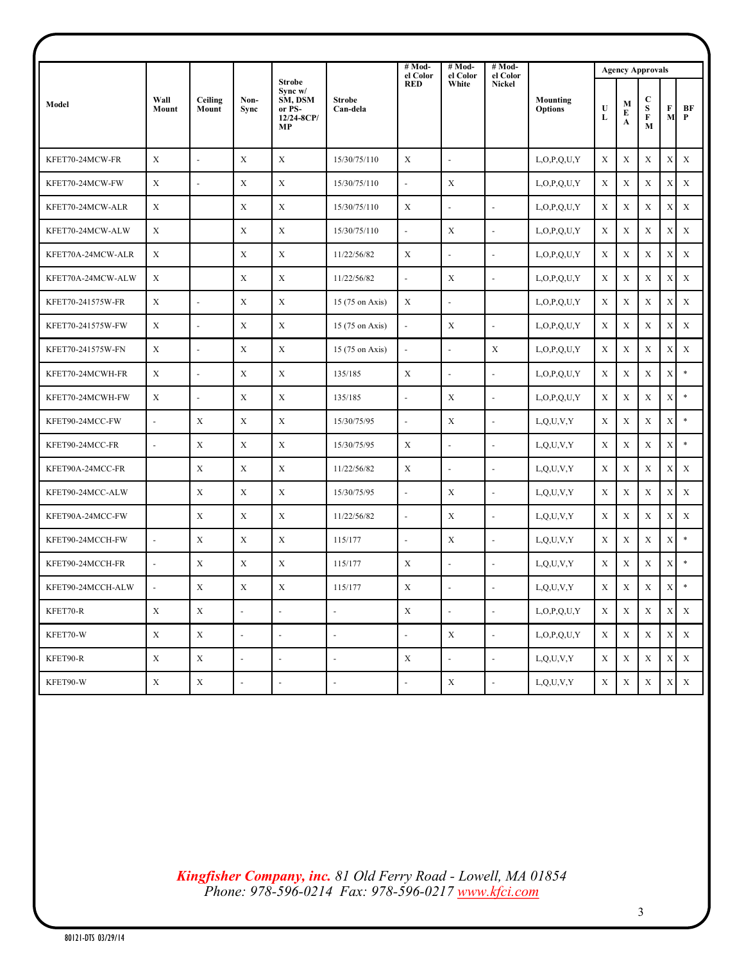|                   |                          |                          |                          |                                                                         |                           | # Mod-<br>el Color       | $#Mod-$<br>el Color      | $#Mod-$<br>el Color      |                            | <b>Agency Approvals</b> |             |                                    |             |              |
|-------------------|--------------------------|--------------------------|--------------------------|-------------------------------------------------------------------------|---------------------------|--------------------------|--------------------------|--------------------------|----------------------------|-------------------------|-------------|------------------------------------|-------------|--------------|
| Model             | Wall<br>Mount            | Ceiling<br>Mount         | Non-<br>Sync             | <b>Strobe</b><br>$S$ vnc w $/$<br>SM, DSM<br>or PS-<br>12/24-8CP/<br>MP | <b>Strobe</b><br>Can-dela | <b>RED</b>               | White                    | <b>Nickel</b>            | Mounting<br><b>Options</b> | $\mathbf U$<br>L        | М<br>E<br>A | C<br>${\bf S}$<br>$\mathbf F$<br>M | F<br>M      | BF<br>P      |
| KFET70-24MCW-FR   | $\mathbf X$              | $\omega$                 | X                        | $\mathbf X$                                                             | 15/30/75/110              | X                        | $\omega$                 |                          | L, O, P, Q, U, Y           | X                       | X           | X                                  | X           | $\mathbf X$  |
| KFET70-24MCW-FW   | $\mathbf X$              | $\overline{a}$           | X                        | $\mathbf X$                                                             | 15/30/75/110              | $\overline{a}$           | X                        |                          | L, O, P, Q, U, Y           | X                       | X           | X                                  | X           | X            |
| KFET70-24MCW-ALR  | $\mathbf X$              |                          | X                        | $\mathbf X$                                                             | 15/30/75/110              | X                        | $\overline{\phantom{a}}$ | $\overline{\phantom{a}}$ | L, O, P, O, U, Y           | X                       | X           | X                                  | X           | $\mathbf X$  |
| KFET70-24MCW-ALW  | $\mathbf X$              |                          | X                        | X                                                                       | 15/30/75/110              | $\Box$                   | X                        | $\blacksquare$           | L, O, P, Q, U, Y           | X                       | X           | X                                  | X           | X            |
| KFET70A-24MCW-ALR | $\mathbf X$              |                          | X                        | $\mathbf X$                                                             | 11/22/56/82               | X                        | $\sim$                   | $\blacksquare$           | L, O, P, Q, U, Y           | X                       | X           | X                                  | X           | $\mathbf X$  |
| KFET70A-24MCW-ALW | $\mathbf X$              |                          | X                        | $\mathbf X$                                                             | 11/22/56/82               | L.                       | X                        | $\blacksquare$           | L, O, P, Q, U, Y           | X                       | X           | $\mathbf X$                        | X           | X            |
| KFET70-241575W-FR | $\mathbf X$              | $\overline{\phantom{a}}$ | X                        | $\mathbf X$                                                             | 15 (75 on Axis)           | X                        | $\sim$                   |                          | L, O, P, O, U, Y           | X                       | $\mathbf X$ | X                                  | X           | X            |
| KFET70-241575W-FW | $\mathbf X$              | $\blacksquare$           | X                        | $\mathbf X$                                                             | 15 (75 on Axis)           | ä,                       | X                        | $\overline{\phantom{a}}$ | L, O, P, Q, U, Y           | X                       | X           | X                                  | X           | X            |
| KFET70-241575W-FN | $\mathbf X$              | ÷,                       | X                        | X                                                                       | 15 (75 on Axis)           | $\bar{\phantom{a}}$      | $\overline{\phantom{a}}$ | X                        | L, O, P, O, U, Y           | X                       | X           | X                                  | X           | X            |
| KFET70-24MCWH-FR  | $\mathbf X$              | $\overline{\phantom{a}}$ | $\mathbf{X}$             | X                                                                       | 135/185                   | $\mathbf X$              | $\sim$                   | $\blacksquare$           | L, O, P, Q, U, Y           | X                       | $\mathbf X$ | X                                  | X           | $\ast$       |
| KFET70-24MCWH-FW  | $\mathbf X$              | $\blacksquare$           | X                        | X                                                                       | 135/185                   | ä,                       | X                        | ÷,                       | L, O, P, Q, U, Y           | X                       | X           | X                                  | X           | $\ast$       |
| KFET90-24MCC-FW   | $\omega$                 | X                        | X                        | $\mathbf X$                                                             | 15/30/75/95               | $\Box$                   | $\mathbf X$              | ÷,                       | L, Q, U, V, Y              | X                       | X           | $\mathbf X$                        | X           | $\ast$       |
| KFET90-24MCC-FR   | $\overline{\phantom{a}}$ | X                        | X                        | X                                                                       | 15/30/75/95               | X                        | $\sim$                   | $\overline{\phantom{a}}$ | L, Q, U, V, Y              | X                       | X           | $\mathbf X$                        | X           | $\ast$       |
| KFET90A-24MCC-FR  |                          | X                        | X                        | $\mathbf X$                                                             | 11/22/56/82               | X                        | $\sim$                   | $\blacksquare$           | L, Q, U, V, Y              | X                       | X           | X                                  | X           | $\mathbf X$  |
| KFET90-24MCC-ALW  |                          | X                        | $\mathbf X$              | $\mathbf X$                                                             | 15/30/75/95               | $\overline{\phantom{a}}$ | X                        | $\blacksquare$           | L, Q, U, V, Y              | X                       | X           | X                                  | X           | X            |
| KFET90A-24MCC-FW  |                          | X                        | $\mathbf X$              | X                                                                       | 11/22/56/82               | $\Box$                   | $\mathbf X$              | $\omega$                 | L, Q, U, V, Y              | $\mathbf X$             | X           | $\mathbf X$                        | X           | $\mathbf X$  |
| KFET90-24MCCH-FW  | $\overline{\phantom{a}}$ | X                        | X                        | X                                                                       | 115/177                   | L.                       | X                        | $\omega$                 | L, Q, U, V, Y              | X                       | X           | X                                  | X           | $\ast$       |
| KFET90-24MCCH-FR  | $\omega$                 | X                        | X                        | $\mathbf X$                                                             | 115/177                   | X                        | $\sim$                   | $\blacksquare$           | L, Q, U, V, Y              | X                       | X           | X                                  | X           | $\ast$       |
| KFET90-24MCCH-ALW | $\overline{\phantom{a}}$ | X                        | X                        | X                                                                       | 115/177                   | Х                        | $\blacksquare$           | $\overline{\phantom{a}}$ | L,Q,U,V,Y                  | X                       | X           | X                                  | $X \mid$    | *            |
| KFET70-R          | $\mathbf X$              | $\mathbf X$              | $\omega$                 | $\omega$                                                                | $\blacksquare$            | $\mathbf X$              | $\omega$                 | $\omega$                 | L, O, P, Q, U, Y           | $\mathbf X$             | $\mathbf X$ | $\mathbf X$                        |             | $X - X$      |
| KFET70-W          | $\mathbf X$              | $\mathbf X$              | $\omega$                 | $\omega$                                                                | $\overline{\phantom{a}}$  | ÷,                       | $\mathbf X$              | $\omega$                 | L, O, P, Q, U, Y           | $\mathbf X$             | $\mathbf X$ | $\mathbf X$                        | $\mathbf X$ | $\mathbf{X}$ |
| KFET90-R          | $\mathbf X$              | $\mathbf X$              | $\omega$                 | $\blacksquare$                                                          | $\blacksquare$            | $\mathbf X$              | $\Box$                   | $\omega$                 | L, Q, U, V, Y              | $\mathbf X$             | X           | X                                  |             | XX           |
| KFET90-W          | $\mathbf X$              | $\mathbf X$              | $\overline{\phantom{a}}$ | $\overline{\phantom{a}}$                                                | $\overline{\phantom{a}}$  | $\blacksquare$           | $\mathbf X$              | ÷,                       | $_{\rm L,Q,U,V,Y}$         | $\mathbf X$             | $\mathbf X$ | $\mathbf X$                        | $\mathbf X$ | $\mathbf X$  |

*Kingfisher Company, inc. 81 Old Ferry Road - Lowell, MA 01854 Phone: 978-596-0214 Fax: 978-596-0217 [www.kfci.com](http://www.kfci.com/)*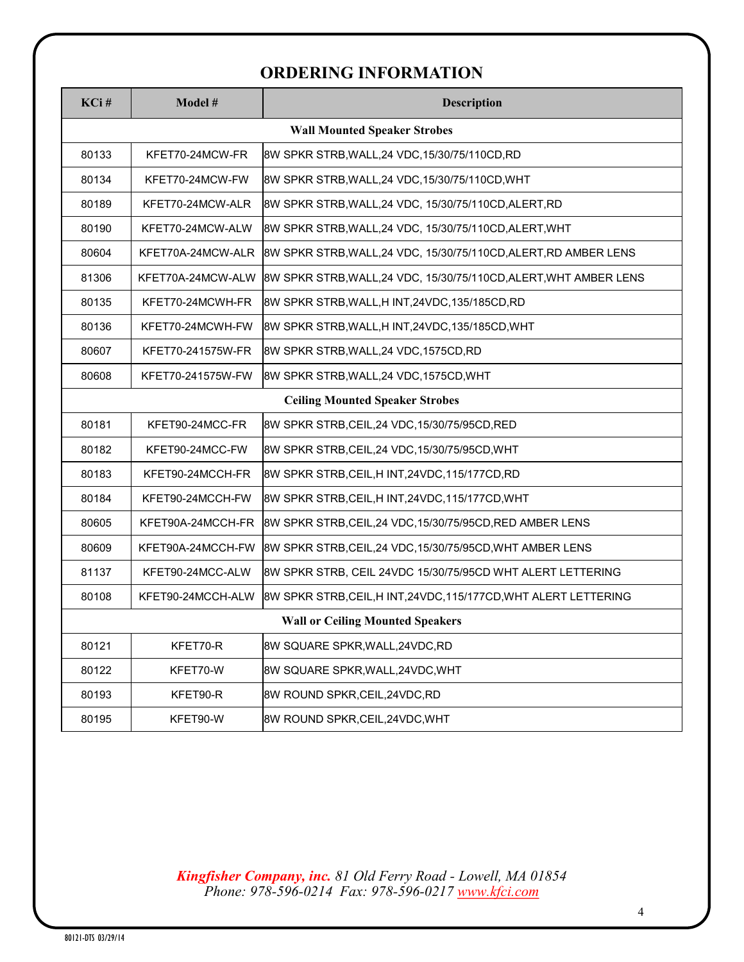# **ORDERING INFORMATION**

| KCi#                                | Model #                                 | <b>Description</b>                                                |  |  |  |  |  |  |
|-------------------------------------|-----------------------------------------|-------------------------------------------------------------------|--|--|--|--|--|--|
| <b>Wall Mounted Speaker Strobes</b> |                                         |                                                                   |  |  |  |  |  |  |
| 80133                               | KFET70-24MCW-FR                         | 8W SPKR STRB, WALL, 24 VDC, 15/30/75/110CD, RD                    |  |  |  |  |  |  |
| 80134                               | KFET70-24MCW-FW                         | 8W SPKR STRB, WALL, 24 VDC, 15/30/75/110CD, WHT                   |  |  |  |  |  |  |
| 80189                               | KFET70-24MCW-ALR                        | 8W SPKR STRB, WALL, 24 VDC, 15/30/75/110CD, ALERT, RD             |  |  |  |  |  |  |
| 80190                               | KFET70-24MCW-ALW                        | 8W SPKR STRB, WALL, 24 VDC, 15/30/75/110CD, ALERT, WHT            |  |  |  |  |  |  |
| 80604                               | KFET70A-24MCW-ALR                       | 8W SPKR STRB, WALL, 24 VDC, 15/30/75/110CD, ALERT, RD AMBER LENS  |  |  |  |  |  |  |
| 81306                               | KFET70A-24MCW-ALW                       | 8W SPKR STRB, WALL, 24 VDC, 15/30/75/110CD, ALERT, WHT AMBER LENS |  |  |  |  |  |  |
| 80135                               | KFET70-24MCWH-FR                        | 8W SPKR STRB, WALL, HINT, 24VDC, 135/185CD, RD                    |  |  |  |  |  |  |
| 80136                               | KFET70-24MCWH-FW                        | 8W SPKR STRB, WALL, HINT, 24VDC, 135/185CD, WHT                   |  |  |  |  |  |  |
| 80607                               | KFET70-241575W-FR                       | 8W SPKR STRB, WALL, 24 VDC, 1575CD, RD                            |  |  |  |  |  |  |
| 80608                               | KFET70-241575W-FW                       | 8W SPKR STRB, WALL, 24 VDC, 1575CD, WHT                           |  |  |  |  |  |  |
|                                     | <b>Ceiling Mounted Speaker Strobes</b>  |                                                                   |  |  |  |  |  |  |
| 80181                               | KFET90-24MCC-FR                         | 8W SPKR STRB, CEIL, 24 VDC, 15/30/75/95CD, RED                    |  |  |  |  |  |  |
| 80182                               | KFET90-24MCC-FW                         | 8W SPKR STRB, CEIL, 24 VDC, 15/30/75/95CD, WHT                    |  |  |  |  |  |  |
| 80183                               | KFET90-24MCCH-FR                        | 8W SPKR STRB,CEIL,H INT,24VDC,115/177CD,RD                        |  |  |  |  |  |  |
| 80184                               | KFET90-24MCCH-FW                        | 8W SPKR STRB, CEIL, HINT, 24VDC, 115/177CD, WHT                   |  |  |  |  |  |  |
| 80605                               | KFET90A-24MCCH-FR                       | 8W SPKR STRB, CEIL, 24 VDC, 15/30/75/95CD, RED AMBER LENS         |  |  |  |  |  |  |
| 80609                               | KFET90A-24MCCH-FW                       | 8W SPKR STRB,CEIL,24 VDC,15/30/75/95CD,WHT AMBER LENS             |  |  |  |  |  |  |
| 81137                               | KFET90-24MCC-ALW                        | 8W SPKR STRB, CEIL 24VDC 15/30/75/95CD WHT ALERT LETTERING        |  |  |  |  |  |  |
| 80108                               | KFET90-24MCCH-ALW                       | 8W SPKR STRB,CEIL,H INT,24VDC,115/177CD,WHT ALERT LETTERING       |  |  |  |  |  |  |
|                                     | <b>Wall or Ceiling Mounted Speakers</b> |                                                                   |  |  |  |  |  |  |
| 80121                               | KFET70-R                                | 8W SQUARE SPKR, WALL, 24VDC, RD                                   |  |  |  |  |  |  |
| 80122                               | KFET70-W                                | 8W SQUARE SPKR, WALL, 24VDC, WHT                                  |  |  |  |  |  |  |
| 80193                               | KFET90-R                                | 8W ROUND SPKR, CEIL, 24VDC, RD                                    |  |  |  |  |  |  |
| 80195                               | KFET90-W                                | 8W ROUND SPKR, CEIL, 24VDC, WHT                                   |  |  |  |  |  |  |

*Kingfisher Company, inc. 81 Old Ferry Road - Lowell, MA 01854 Phone: 978-596-0214 Fax: 978-596-0217 [www.kfci.com](http://www.kfci.com/)*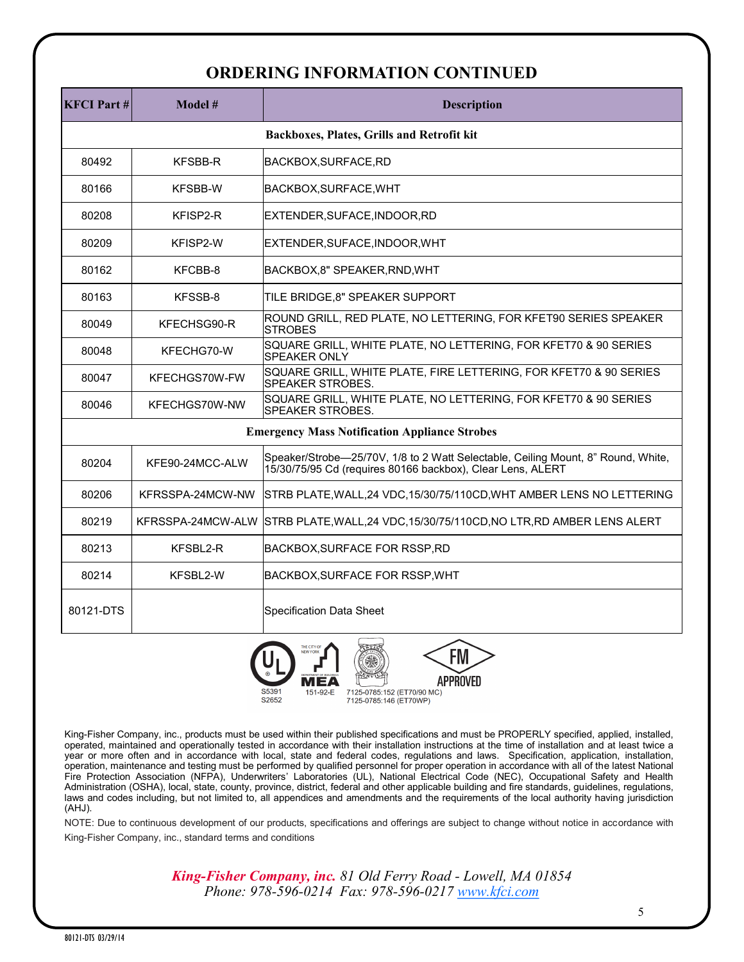## **ORDERING INFORMATION CONTINUED**

| <b>KFCI</b> Part #                                   | Model #                                    | <b>Description</b>                                                                                                                             |  |  |  |  |  |  |  |
|------------------------------------------------------|--------------------------------------------|------------------------------------------------------------------------------------------------------------------------------------------------|--|--|--|--|--|--|--|
|                                                      | Backboxes, Plates, Grills and Retrofit kit |                                                                                                                                                |  |  |  |  |  |  |  |
| 80492                                                | <b>KFSBB-R</b>                             | BACKBOX, SURFACE, RD                                                                                                                           |  |  |  |  |  |  |  |
| 80166                                                | <b>KFSBB-W</b>                             | BACKBOX, SURFACE, WHT                                                                                                                          |  |  |  |  |  |  |  |
| 80208                                                | KFISP2-R                                   | EXTENDER,SUFACE,INDOOR,RD                                                                                                                      |  |  |  |  |  |  |  |
| 80209                                                | KFISP2-W                                   | EXTENDER, SUFACE, INDOOR, WHT                                                                                                                  |  |  |  |  |  |  |  |
| 80162                                                | KFCBB-8                                    | BACKBOX,8" SPEAKER, RND, WHT                                                                                                                   |  |  |  |  |  |  |  |
| 80163                                                | KFSSB-8                                    | TILE BRIDGE, 8" SPEAKER SUPPORT                                                                                                                |  |  |  |  |  |  |  |
| 80049                                                | KFECHSG90-R                                | ROUND GRILL, RED PLATE, NO LETTERING, FOR KFET90 SERIES SPEAKER<br><b>STROBES</b>                                                              |  |  |  |  |  |  |  |
| 80048                                                | KFECHG70-W                                 | SQUARE GRILL, WHITE PLATE, NO LETTERING, FOR KFET70 & 90 SERIES<br><b>SPEAKER ONLY</b>                                                         |  |  |  |  |  |  |  |
| 80047                                                | KFECHGS70W-FW                              | SQUARE GRILL, WHITE PLATE, FIRE LETTERING, FOR KFET70 & 90 SERIES<br><b>SPEAKER STROBES.</b>                                                   |  |  |  |  |  |  |  |
| 80046                                                | KFECHGS70W-NW                              | SQUARE GRILL, WHITE PLATE, NO LETTERING, FOR KFET70 & 90 SERIES<br><b>SPEAKER STROBES.</b>                                                     |  |  |  |  |  |  |  |
| <b>Emergency Mass Notification Appliance Strobes</b> |                                            |                                                                                                                                                |  |  |  |  |  |  |  |
| 80204                                                | KFE90-24MCC-ALW                            | Speaker/Strobe-25/70V, 1/8 to 2 Watt Selectable, Ceiling Mount, 8" Round, White,<br>15/30/75/95 Cd (requires 80166 backbox), Clear Lens, ALERT |  |  |  |  |  |  |  |
| 80206                                                | KFRSSPA-24MCW-NW                           | STRB PLATE, WALL, 24 VDC, 15/30/75/110CD, WHT AMBER LENS NO LETTERING                                                                          |  |  |  |  |  |  |  |
| 80219                                                | KFRSSPA-24MCW-ALW                          | STRB PLATE, WALL, 24 VDC, 15/30/75/110CD, NO LTR, RD AMBER LENS ALERT                                                                          |  |  |  |  |  |  |  |
| 80213                                                | KFSBL2-R                                   | BACKBOX, SURFACE FOR RSSP, RD                                                                                                                  |  |  |  |  |  |  |  |
| 80214                                                | KFSBL2-W                                   | BACKBOX, SURFACE FOR RSSP, WHT                                                                                                                 |  |  |  |  |  |  |  |
| 80121-DTS                                            |                                            | <b>Specification Data Sheet</b>                                                                                                                |  |  |  |  |  |  |  |



King-Fisher Company, inc., products must be used within their published specifications and must be PROPERLY specified, applied, installed, operated, maintained and operationally tested in accordance with their installation instructions at the time of installation and at least twice a year or more often and in accordance with local, state and federal codes, regulations and laws. Specification, application, installation, operation, maintenance and testing must be performed by qualified personnel for proper operation in accordance with all of the latest National Fire Protection Association (NFPA), Underwriters' Laboratories (UL), National Electrical Code (NEC), Occupational Safety and Health Administration (OSHA), local, state, county, province, district, federal and other applicable building and fire standards, guidelines, regulations, laws and codes including, but not limited to, all appendices and amendments and the requirements of the local authority having jurisdiction (AHJ).

NOTE: Due to continuous development of our products, specifications and offerings are subject to change without notice in accordance with King-Fisher Company, inc., standard terms and conditions

> *King-Fisher Company, inc. 81 Old Ferry Road - Lowell, MA 01854 Phone: 978-596-0214 Fax: 978-596-0217 [www.kfci.com](http://www.kfci.com/)*